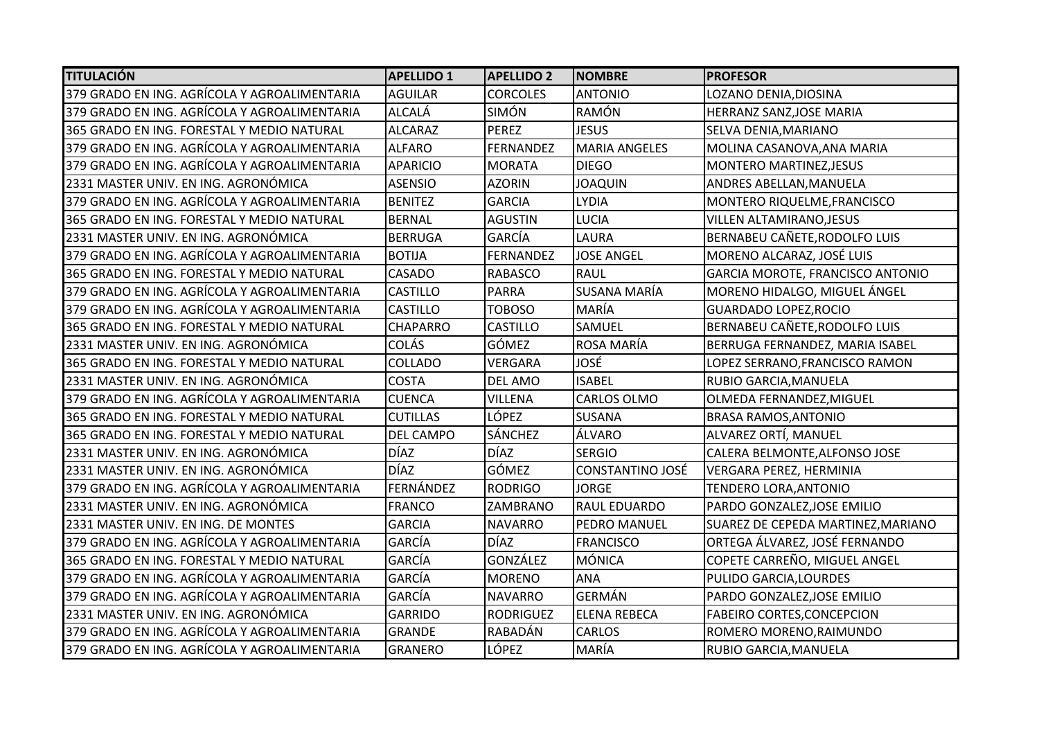| <b>TITULACIÓN</b>                            | <b>APELLIDO 1</b> | <b>APELLIDO 2</b> | <b>NOMBRE</b>           | <b>PROFESOR</b>                         |
|----------------------------------------------|-------------------|-------------------|-------------------------|-----------------------------------------|
| 379 GRADO EN ING. AGRÍCOLA Y AGROALIMENTARIA | <b>AGUILAR</b>    | <b>CORCOLES</b>   | <b>ANTONIO</b>          | LOZANO DENIA, DIOSINA                   |
| 379 GRADO EN ING. AGRÍCOLA Y AGROALIMENTARIA | <b>ALCALÁ</b>     | <b>SIMÓN</b>      | RAMÓN                   | HERRANZ SANZ, JOSE MARIA                |
| 365 GRADO EN ING. FORESTAL Y MEDIO NATURAL   | <b>ALCARAZ</b>    | PEREZ             | <b>JESUS</b>            | SELVA DENIA, MARIANO                    |
| 379 GRADO EN ING. AGRÍCOLA Y AGROALIMENTARIA | <b>ALFARO</b>     | <b>FERNANDEZ</b>  | <b>MARIA ANGELES</b>    | MOLINA CASANOVA, ANA MARIA              |
| 379 GRADO EN ING. AGRÍCOLA Y AGROALIMENTARIA | <b>APARICIO</b>   | <b>MORATA</b>     | <b>DIEGO</b>            | MONTERO MARTINEZ, JESUS                 |
| 2331 MASTER UNIV. EN ING. AGRONÓMICA         | <b>ASENSIO</b>    | <b>AZORIN</b>     | <b>JOAQUIN</b>          | ANDRES ABELLAN, MANUELA                 |
| 379 GRADO EN ING. AGRÍCOLA Y AGROALIMENTARIA | <b>BENITEZ</b>    | <b>GARCIA</b>     | <b>LYDIA</b>            | MONTERO RIQUELME, FRANCISCO             |
| 365 GRADO EN ING. FORESTAL Y MEDIO NATURAL   | <b>BERNAL</b>     | <b>AGUSTIN</b>    | <b>LUCIA</b>            | VILLEN ALTAMIRANO, JESUS                |
| 2331 MASTER UNIV. EN ING. AGRONÓMICA         | <b>BERRUGA</b>    | GARCÍA            | LAURA                   | BERNABEU CAÑETE, RODOLFO LUIS           |
| 379 GRADO EN ING. AGRÍCOLA Y AGROALIMENTARIA | <b>BOTIJA</b>     | <b>FERNANDEZ</b>  | <b>JOSE ANGEL</b>       | MORENO ALCARAZ, JOSÉ LUIS               |
| 365 GRADO EN ING. FORESTAL Y MEDIO NATURAL   | <b>CASADO</b>     | <b>RABASCO</b>    | <b>RAUL</b>             | <b>GARCIA MOROTE, FRANCISCO ANTONIO</b> |
| 379 GRADO EN ING. AGRÍCOLA Y AGROALIMENTARIA | <b>CASTILLO</b>   | <b>PARRA</b>      | SUSANA MARÍA            | MORENO HIDALGO, MIGUEL ÁNGEL            |
| 379 GRADO EN ING. AGRÍCOLA Y AGROALIMENTARIA | <b>CASTILLO</b>   | <b>TOBOSO</b>     | MARÍA                   | <b>GUARDADO LOPEZ, ROCIO</b>            |
| 365 GRADO EN ING. FORESTAL Y MEDIO NATURAL   | <b>CHAPARRO</b>   | <b>CASTILLO</b>   | <b>SAMUEL</b>           | BERNABEU CAÑETE, RODOLFO LUIS           |
| 2331 MASTER UNIV. EN ING. AGRONÓMICA         | <b>COLÁS</b>      | <b>GÓMEZ</b>      | ROSA MARÍA              | BERRUGA FERNANDEZ, MARIA ISABEL         |
| 365 GRADO EN ING. FORESTAL Y MEDIO NATURAL   | COLLADO           | <b>VERGARA</b>    | JOSÉ                    | LOPEZ SERRANO, FRANCISCO RAMON          |
| 2331 MASTER UNIV. EN ING. AGRONÓMICA         | <b>COSTA</b>      | <b>DEL AMO</b>    | <b>ISABEL</b>           | RUBIO GARCIA, MANUELA                   |
| 379 GRADO EN ING. AGRÍCOLA Y AGROALIMENTARIA | <b>CUENCA</b>     | <b>VILLENA</b>    | CARLOS OLMO             | OLMEDA FERNANDEZ, MIGUEL                |
| 365 GRADO EN ING. FORESTAL Y MEDIO NATURAL   | <b>CUTILLAS</b>   | LÓPEZ             | <b>SUSANA</b>           | <b>BRASA RAMOS, ANTONIO</b>             |
| 365 GRADO EN ING. FORESTAL Y MEDIO NATURAL   | DEL CAMPO         | <b>SÁNCHEZ</b>    | ÁLVARO                  | ALVAREZ ORTÍ, MANUEL                    |
| 2331 MASTER UNIV. EN ING. AGRONÓMICA         | <b>DÍAZ</b>       | <b>DÍAZ</b>       | <b>SERGIO</b>           | CALERA BELMONTE, ALFONSO JOSE           |
| 2331 MASTER UNIV. EN ING. AGRONÓMICA         | <b>DÍAZ</b>       | <b>GÓMEZ</b>      | <b>CONSTANTINO JOSÉ</b> | VERGARA PEREZ, HERMINIA                 |
| 379 GRADO EN ING. AGRÍCOLA Y AGROALIMENTARIA | FERNÁNDEZ         | <b>RODRIGO</b>    | <b>JORGE</b>            | <b>TENDERO LORA, ANTONIO</b>            |
| 2331 MASTER UNIV. EN ING. AGRONÓMICA         | <b>FRANCO</b>     | <b>ZAMBRANO</b>   | <b>RAUL EDUARDO</b>     | PARDO GONZALEZ, JOSE EMILIO             |
| 2331 MASTER UNIV. EN ING. DE MONTES          | <b>GARCIA</b>     | <b>NAVARRO</b>    | PEDRO MANUEL            | SUAREZ DE CEPEDA MARTINEZ, MARIANO      |
| 379 GRADO EN ING. AGRÍCOLA Y AGROALIMENTARIA | GARCÍA            | DÍAZ              | <b>FRANCISCO</b>        | ORTEGA ÁLVAREZ, JOSÉ FERNANDO           |
| 365 GRADO EN ING. FORESTAL Y MEDIO NATURAL   | <b>GARCÍA</b>     | <b>GONZÁLEZ</b>   | <b>MÓNICA</b>           | COPETE CARREÑO, MIGUEL ANGEL            |
| 379 GRADO EN ING. AGRÍCOLA Y AGROALIMENTARIA | <b>GARCÍA</b>     | <b>MORENO</b>     | <b>ANA</b>              | PULIDO GARCIA, LOURDES                  |
| 379 GRADO EN ING. AGRÍCOLA Y AGROALIMENTARIA | GARCÍA            | <b>NAVARRO</b>    | <b>GERMÁN</b>           | PARDO GONZALEZ, JOSE EMILIO             |
| 2331 MASTER UNIV. EN ING. AGRONÓMICA         | <b>GARRIDO</b>    | <b>RODRIGUEZ</b>  | <b>ELENA REBECA</b>     | <b>FABEIRO CORTES, CONCEPCION</b>       |
| 379 GRADO EN ING. AGRÍCOLA Y AGROALIMENTARIA | <b>GRANDE</b>     | <b>RABADÁN</b>    | <b>CARLOS</b>           | ROMERO MORENO, RAIMUNDO                 |
| 379 GRADO EN ING. AGRÍCOLA Y AGROALIMENTARIA | <b>GRANERO</b>    | LÓPEZ             | MARÍA                   | RUBIO GARCIA, MANUELA                   |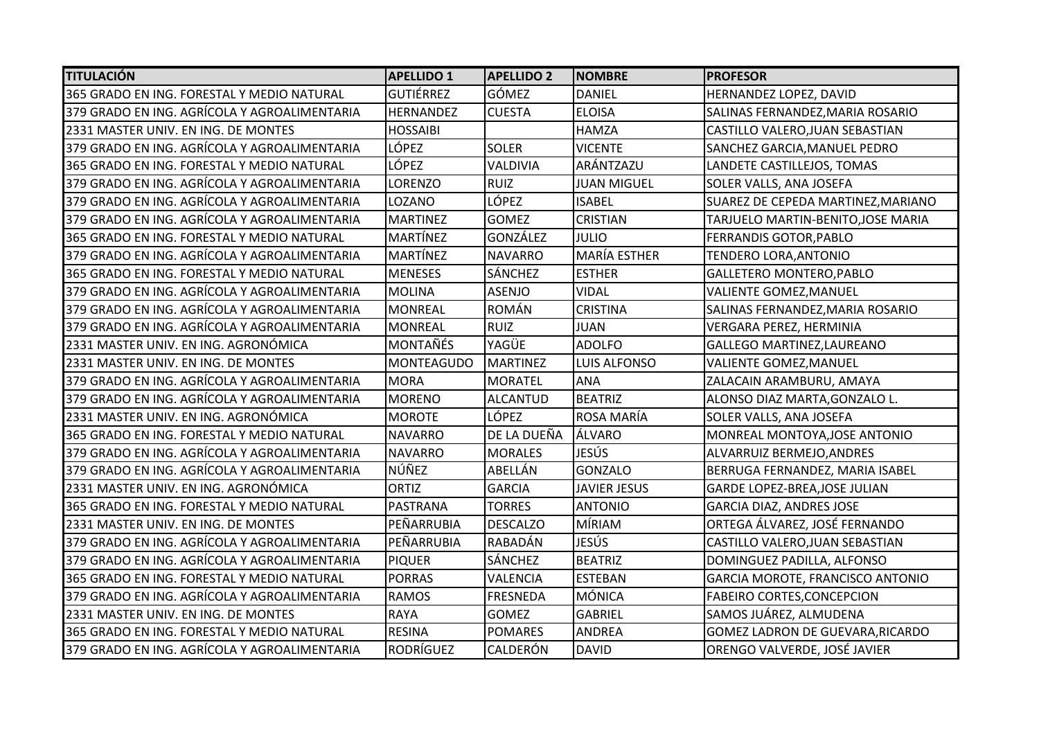| <b>TITULACIÓN</b>                            | <b>APELLIDO 1</b> | <b>APELLIDO 2</b> | <b>NOMBRE</b>       | <b>PROFESOR</b>                      |
|----------------------------------------------|-------------------|-------------------|---------------------|--------------------------------------|
| 365 GRADO EN ING. FORESTAL Y MEDIO NATURAL   | <b>GUTIÉRREZ</b>  | GÓMEZ             | <b>DANIEL</b>       | HERNANDEZ LOPEZ, DAVID               |
| 379 GRADO EN ING. AGRÍCOLA Y AGROALIMENTARIA | <b>HERNANDEZ</b>  | <b>CUESTA</b>     | <b>ELOISA</b>       | SALINAS FERNANDEZ, MARIA ROSARIO     |
| 2331 MASTER UNIV. EN ING. DE MONTES          | <b>HOSSAIBI</b>   |                   | <b>HAMZA</b>        | CASTILLO VALERO, JUAN SEBASTIAN      |
| 379 GRADO EN ING. AGRÍCOLA Y AGROALIMENTARIA | LÓPEZ             | <b>SOLER</b>      | <b>VICENTE</b>      | SANCHEZ GARCIA, MANUEL PEDRO         |
| 365 GRADO EN ING. FORESTAL Y MEDIO NATURAL   | LÓPEZ             | VALDIVIA          | ARÁNTZAZU           | LANDETE CASTILLEJOS, TOMAS           |
| 379 GRADO EN ING. AGRÍCOLA Y AGROALIMENTARIA | LORENZO           | <b>RUIZ</b>       | <b>JUAN MIGUEL</b>  | SOLER VALLS, ANA JOSEFA              |
| 379 GRADO EN ING. AGRÍCOLA Y AGROALIMENTARIA | LOZANO            | LÓPEZ             | <b>ISABEL</b>       | SUAREZ DE CEPEDA MARTINEZ, MARIANO   |
| 379 GRADO EN ING. AGRÍCOLA Y AGROALIMENTARIA | <b>MARTINEZ</b>   | <b>GOMEZ</b>      | <b>CRISTIAN</b>     | TARJUELO MARTIN-BENITO, JOSE MARIA   |
| 365 GRADO EN ING. FORESTAL Y MEDIO NATURAL   | <b>MARTÍNEZ</b>   | GONZÁLEZ          | JULIO               | <b>FERRANDIS GOTOR, PABLO</b>        |
| 379 GRADO EN ING. AGRÍCOLA Y AGROALIMENTARIA | <b>MARTÍNEZ</b>   | <b>NAVARRO</b>    | <b>MARÍA ESTHER</b> | TENDERO LORA, ANTONIO                |
| 365 GRADO EN ING. FORESTAL Y MEDIO NATURAL   | <b>MENESES</b>    | <b>SÁNCHEZ</b>    | <b>ESTHER</b>       | <b>GALLETERO MONTERO, PABLO</b>      |
| 379 GRADO EN ING. AGRÍCOLA Y AGROALIMENTARIA | <b>MOLINA</b>     | <b>ASENJO</b>     | <b>VIDAL</b>        | VALIENTE GOMEZ, MANUEL               |
| 379 GRADO EN ING. AGRÍCOLA Y AGROALIMENTARIA | <b>MONREAL</b>    | <b>ROMÁN</b>      | <b>CRISTINA</b>     | SALINAS FERNANDEZ, MARIA ROSARIO     |
| 379 GRADO EN ING. AGRÍCOLA Y AGROALIMENTARIA | <b>MONREAL</b>    | <b>RUIZ</b>       | <b>JUAN</b>         | VERGARA PEREZ, HERMINIA              |
| 2331 MASTER UNIV. EN ING. AGRONÓMICA         | <b>MONTAÑÉS</b>   | YAGÜE             | <b>ADOLFO</b>       | <b>GALLEGO MARTINEZ, LAUREANO</b>    |
| 2331 MASTER UNIV. EN ING. DE MONTES          | <b>MONTEAGUDO</b> | MARTINEZ          | <b>LUIS ALFONSO</b> | <b>VALIENTE GOMEZ, MANUEL</b>        |
| 379 GRADO EN ING. AGRÍCOLA Y AGROALIMENTARIA | <b>MORA</b>       | <b>MORATEL</b>    | <b>ANA</b>          | ZALACAIN ARAMBURU, AMAYA             |
| 379 GRADO EN ING. AGRÍCOLA Y AGROALIMENTARIA | <b>MORENO</b>     | <b>ALCANTUD</b>   | <b>BEATRIZ</b>      | ALONSO DIAZ MARTA, GONZALO L.        |
| 2331 MASTER UNIV. EN ING. AGRONÓMICA         | <b>MOROTE</b>     | LÓPEZ             | ROSA MARÍA          | SOLER VALLS, ANA JOSEFA              |
| 365 GRADO EN ING. FORESTAL Y MEDIO NATURAL   | <b>NAVARRO</b>    | DE LA DUEÑA       | ÁLVARO              | MONREAL MONTOYA, JOSE ANTONIO        |
| 379 GRADO EN ING. AGRÍCOLA Y AGROALIMENTARIA | <b>NAVARRO</b>    | <b>MORALES</b>    | JESÚS               | ALVARRUIZ BERMEJO, ANDRES            |
| 379 GRADO EN ING. AGRÍCOLA Y AGROALIMENTARIA | NÚÑEZ             | ABELLÁN           | <b>GONZALO</b>      | BERRUGA FERNANDEZ, MARIA ISABEL      |
| 2331 MASTER UNIV. EN ING. AGRONÓMICA         | <b>ORTIZ</b>      | <b>GARCIA</b>     | <b>JAVIER JESUS</b> | <b>GARDE LOPEZ-BREA, JOSE JULIAN</b> |
| 365 GRADO EN ING. FORESTAL Y MEDIO NATURAL   | <b>PASTRANA</b>   | <b>TORRES</b>     | <b>ANTONIO</b>      | <b>GARCIA DIAZ, ANDRES JOSE</b>      |
| 2331 MASTER UNIV. EN ING. DE MONTES          | PEÑARRUBIA        | <b>DESCALZO</b>   | MÍRIAM              | ORTEGA ÁLVAREZ, JOSÉ FERNANDO        |
| 379 GRADO EN ING. AGRÍCOLA Y AGROALIMENTARIA | PEÑARRUBIA        | RABADÁN           | JESÚS               | CASTILLO VALERO, JUAN SEBASTIAN      |
| 379 GRADO EN ING. AGRÍCOLA Y AGROALIMENTARIA | <b>PIQUER</b>     | SÁNCHEZ           | <b>BEATRIZ</b>      | DOMINGUEZ PADILLA, ALFONSO           |
| 365 GRADO EN ING. FORESTAL Y MEDIO NATURAL   | <b>PORRAS</b>     | <b>VALENCIA</b>   | <b>ESTEBAN</b>      | GARCIA MOROTE, FRANCISCO ANTONIO     |
| 379 GRADO EN ING. AGRÍCOLA Y AGROALIMENTARIA | <b>RAMOS</b>      | <b>FRESNEDA</b>   | MÓNICA              | <b>FABEIRO CORTES, CONCEPCION</b>    |
| 2331 MASTER UNIV. EN ING. DE MONTES          | <b>RAYA</b>       | <b>GOMEZ</b>      | <b>GABRIEL</b>      | SAMOS JUÁREZ, ALMUDENA               |
| 365 GRADO EN ING. FORESTAL Y MEDIO NATURAL   | <b>RESINA</b>     | <b>POMARES</b>    | <b>ANDREA</b>       | GOMEZ LADRON DE GUEVARA, RICARDO     |
| 379 GRADO EN ING. AGRÍCOLA Y AGROALIMENTARIA | <b>RODRÍGUEZ</b>  | CALDERÓN          | <b>DAVID</b>        | ORENGO VALVERDE, JOSÉ JAVIER         |